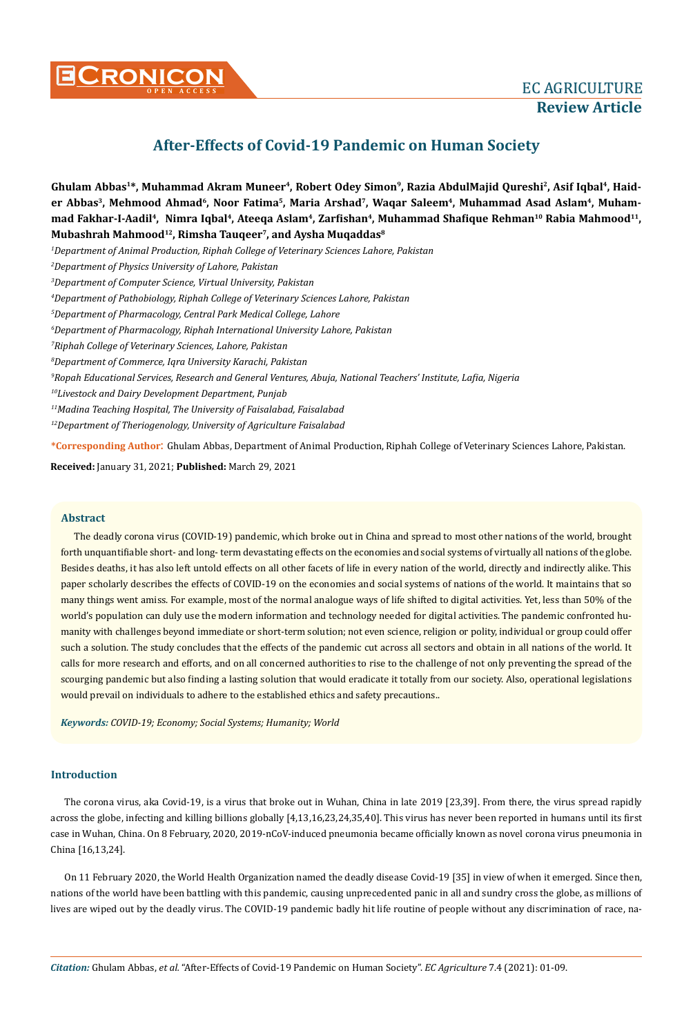

# **After-Effects of Covid-19 Pandemic on Human Society**

Ghulam Abbas<sup>1\*</sup>, Muhammad Akram Muneer<sup>4</sup>, Robert Odey Simon<sup>9</sup>, Razia AbdulMajid Qureshi<sup>2</sup>, Asif Iqbal<sup>4</sup>, Haider Abbas<sup>3</sup>, Mehmood Ahmad<sup>6</sup>, Noor Fatima<sup>5</sup>, Maria Arshad<sup>7</sup>, Waqar Saleem<sup>4</sup>, Muhammad Asad Aslam<sup>4</sup>, Muham**mad Fakhar-I-Aadil4, Nimra Iqbal4, Ateeqa Aslam4, Zarfishan<sup>4</sup>, Muhammad Shafique Rehman10 Rabia Mahmood11, Mubashrah Mahmood12, Rimsha Tauqeer7, and Aysha Muqaddas8**

*1 Department of Animal Production, Riphah College of Veterinary Sciences Lahore, Pakistan*

*2 Department of Physics University of Lahore, Pakistan*

*3 Department of Computer Science, Virtual University, Pakistan*

*4 Department of Pathobiology, Riphah College of Veterinary Sciences Lahore, Pakistan*

*5 Department of Pharmacology, Central Park Medical College, Lahore*

*6 Department of Pharmacology, Riphah International University Lahore, Pakistan*

*7 Riphah College of Veterinary Sciences, Lahore, Pakistan*

*8 Department of Commerce, Iqra University Karachi, Pakistan*

*9 Ropah Educational Services, Research and General Ventures, Abuja, National Teachers' Institute, Lafia, Nigeria*

*10Livestock and Dairy Development Department, Punjab*

*11Madina Teaching Hospital, The University of Faisalabad, Faisalabad*

*12Department of Theriogenology, University of Agriculture Faisalabad*

**\*Corresponding Author**: Ghulam Abbas, Department of Animal Production, Riphah College of Veterinary Sciences Lahore, Pakistan.

**Received:** January 31, 2021; **Published:** March 29, 2021

## **Abstract**

The deadly corona virus (COVID-19) pandemic, which broke out in China and spread to most other nations of the world, brought forth unquantifiable short- and long- term devastating effects on the economies and social systems of virtually all nations of the globe. Besides deaths, it has also left untold effects on all other facets of life in every nation of the world, directly and indirectly alike. This paper scholarly describes the effects of COVID-19 on the economies and social systems of nations of the world. It maintains that so many things went amiss. For example, most of the normal analogue ways of life shifted to digital activities. Yet, less than 50% of the world's population can duly use the modern information and technology needed for digital activities. The pandemic confronted humanity with challenges beyond immediate or short-term solution; not even science, religion or polity, individual or group could offer such a solution. The study concludes that the effects of the pandemic cut across all sectors and obtain in all nations of the world. It calls for more research and efforts, and on all concerned authorities to rise to the challenge of not only preventing the spread of the scourging pandemic but also finding a lasting solution that would eradicate it totally from our society. Also, operational legislations would prevail on individuals to adhere to the established ethics and safety precautions..

*Keywords: COVID-19; Economy; Social Systems; Humanity; World*

# **Introduction**

The corona virus, aka Covid-19, is a virus that broke out in Wuhan, China in late 2019 [23,39]. From there, the virus spread rapidly across the globe, infecting and killing billions globally [4,13,16,23,24,35,40]. This virus has never been reported in humans until its first case in Wuhan, China. On 8 February, 2020, 2019-nCoV-induced pneumonia became officially known as novel corona virus pneumonia in China [16,13,24].

On 11 February 2020, the World Health Organization named the deadly disease Covid-19 [35] in view of when it emerged. Since then, nations of the world have been battling with this pandemic, causing unprecedented panic in all and sundry cross the globe, as millions of lives are wiped out by the deadly virus. The COVID-19 pandemic badly hit life routine of people without any discrimination of race, na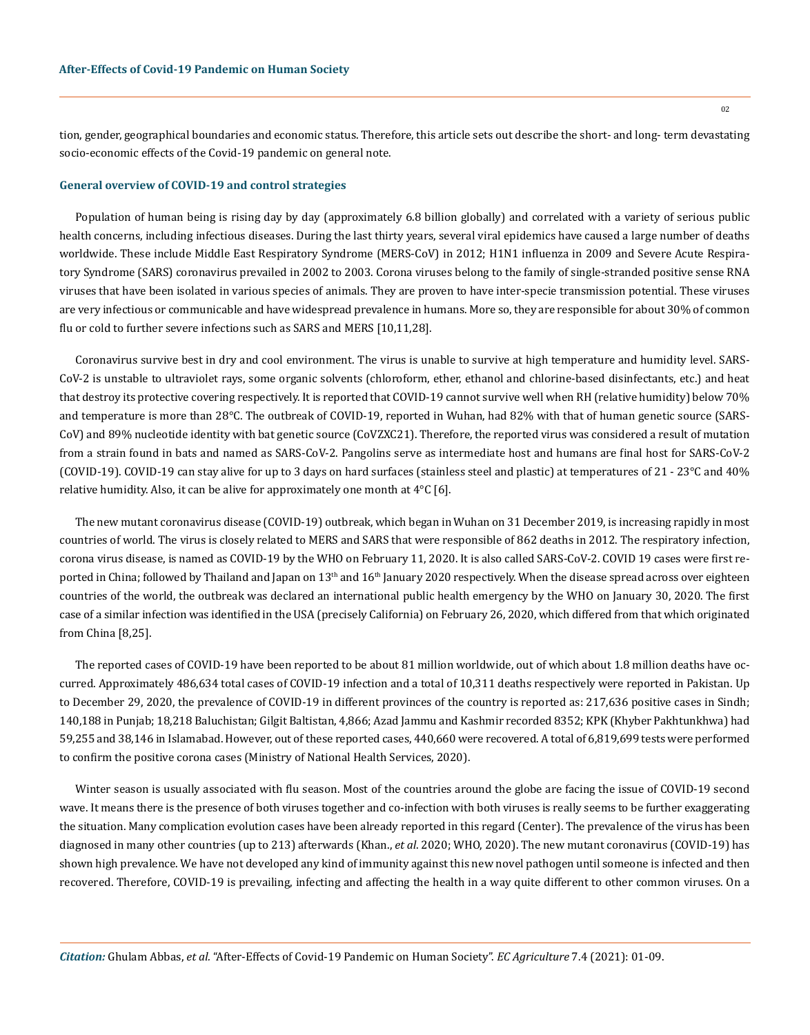tion, gender, geographical boundaries and economic status. Therefore, this article sets out describe the short- and long- term devastating socio-economic effects of the Covid-19 pandemic on general note.

#### **General overview of COVID-19 and control strategies**

Population of human being is rising day by day (approximately 6.8 billion globally) and correlated with a variety of serious public health concerns, including infectious diseases. During the last thirty years, several viral epidemics have caused a large number of deaths worldwide. These include Middle East Respiratory Syndrome (MERS-CoV) in 2012; H1N1 influenza in 2009 and Severe Acute Respiratory Syndrome (SARS) coronavirus prevailed in 2002 to 2003. Corona viruses belong to the family of single-stranded positive sense RNA viruses that have been isolated in various species of animals. They are proven to have inter-specie transmission potential. These viruses are very infectious or communicable and have widespread prevalence in humans. More so, they are responsible for about 30% of common flu or cold to further severe infections such as SARS and MERS [10,11,28].

Coronavirus survive best in dry and cool environment. The virus is unable to survive at high temperature and humidity level. SARS-CoV-2 is unstable to ultraviolet rays, some organic solvents (chloroform, ether, ethanol and chlorine-based disinfectants, etc.) and heat that destroy its protective covering respectively. It is reported that COVID-19 cannot survive well when RH (relative humidity) below 70% and temperature is more than 28°C. The outbreak of COVID-19, reported in Wuhan, had 82% with that of human genetic source (SARS-CoV) and 89% nucleotide identity with bat genetic source (CoVZXC21). Therefore, the reported virus was considered a result of mutation from a strain found in bats and named as SARS-CoV-2. Pangolins serve as intermediate host and humans are final host for SARS-CoV-2 (COVID-19). COVID-19 can stay alive for up to 3 days on hard surfaces (stainless steel and plastic) at temperatures of 21 - 23°C and 40% relative humidity. Also, it can be alive for approximately one month at 4°C [6].

The new mutant coronavirus disease (COVID-19) outbreak, which began in Wuhan on 31 December 2019, is increasing rapidly in most countries of world. The virus is closely related to MERS and SARS that were responsible of 862 deaths in 2012. The respiratory infection, corona virus disease, is named as COVID-19 by the WHO on February 11, 2020. It is also called SARS-CoV-2. COVID 19 cases were first reported in China; followed by Thailand and Japan on  $13<sup>th</sup>$  and  $16<sup>th</sup>$  January 2020 respectively. When the disease spread across over eighteen countries of the world, the outbreak was declared an international public health emergency by the WHO on January 30, 2020. The first case of a similar infection was identified in the USA (precisely California) on February 26, 2020, which differed from that which originated from China [8,25].

The reported cases of COVID-19 have been reported to be about 81 million worldwide, out of which about 1.8 million deaths have occurred. Approximately 486,634 total cases of COVID-19 infection and a total of 10,311 deaths respectively were reported in Pakistan. Up to December 29, 2020, the prevalence of COVID-19 in different provinces of the country is reported as: 217,636 positive cases in Sindh; 140,188 in Punjab; 18,218 Baluchistan; Gilgit Baltistan, 4,866; Azad Jammu and Kashmir recorded 8352; KPK (Khyber Pakhtunkhwa) had 59,255 and 38,146 in Islamabad. However, out of these reported cases, 440,660 were recovered. A total of 6,819,699 tests were performed to confirm the positive corona cases (Ministry of National Health Services, 2020).

Winter season is usually associated with flu season. Most of the countries around the globe are facing the issue of COVID-19 second wave. It means there is the presence of both viruses together and co-infection with both viruses is really seems to be further exaggerating the situation. Many complication evolution cases have been already reported in this regard (Center). The prevalence of the virus has been diagnosed in many other countries (up to 213) afterwards (Khan., *et al*. 2020; WHO, 2020). The new mutant coronavirus (COVID-19) has shown high prevalence. We have not developed any kind of immunity against this new novel pathogen until someone is infected and then recovered. Therefore, COVID-19 is prevailing, infecting and affecting the health in a way quite different to other common viruses. On a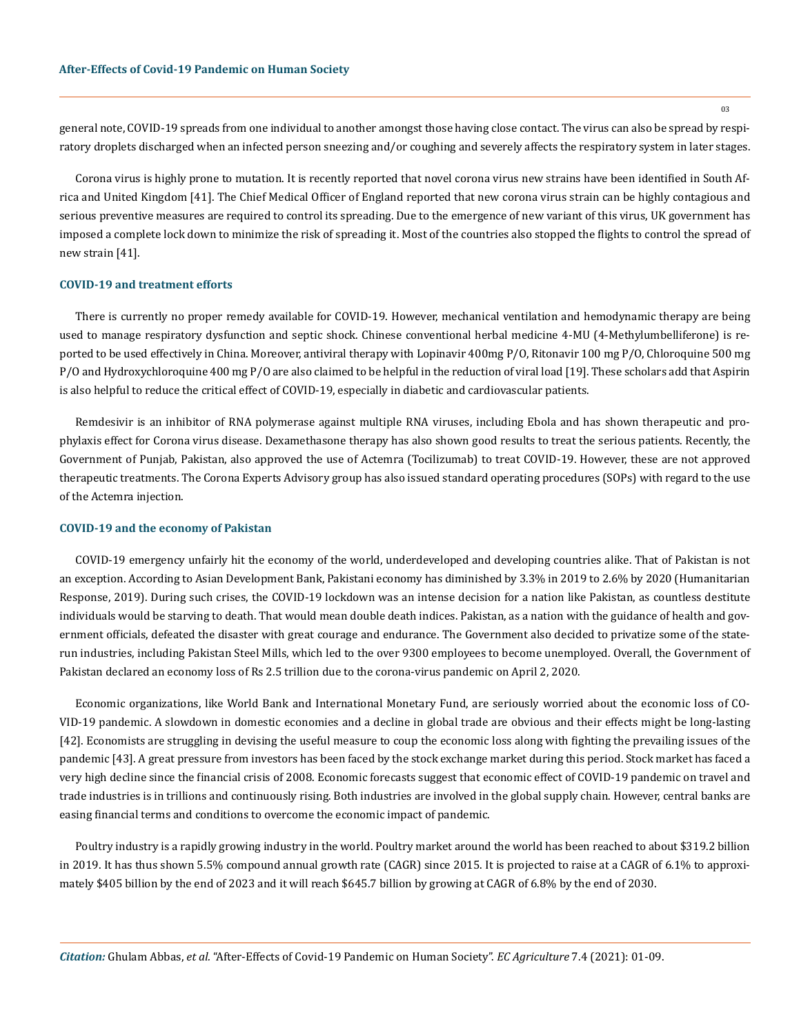general note, COVID-19 spreads from one individual to another amongst those having close contact. The virus can also be spread by respiratory droplets discharged when an infected person sneezing and/or coughing and severely affects the respiratory system in later stages.

Corona virus is highly prone to mutation. It is recently reported that novel corona virus new strains have been identified in South Africa and United Kingdom [41]. The Chief Medical Officer of England reported that new corona virus strain can be highly contagious and serious preventive measures are required to control its spreading. Due to the emergence of new variant of this virus, UK government has imposed a complete lock down to minimize the risk of spreading it. Most of the countries also stopped the flights to control the spread of new strain [41].

#### **COVID-19 and treatment efforts**

There is currently no proper remedy available for COVID-19. However, mechanical ventilation and hemodynamic therapy are being used to manage respiratory dysfunction and septic shock. Chinese conventional herbal medicine 4-MU (4-Methylumbelliferone) is reported to be used effectively in China. Moreover, antiviral therapy with Lopinavir 400mg P/O, Ritonavir 100 mg P/O, Chloroquine 500 mg P/O and Hydroxychloroquine 400 mg P/O are also claimed to be helpful in the reduction of viral load [19]. These scholars add that Aspirin is also helpful to reduce the critical effect of COVID-19, especially in diabetic and cardiovascular patients.

Remdesivir is an inhibitor of RNA polymerase against multiple RNA viruses, including Ebola and has shown therapeutic and prophylaxis effect for Corona virus disease. Dexamethasone therapy has also shown good results to treat the serious patients. Recently, the Government of Punjab, Pakistan, also approved the use of Actemra (Tocilizumab) to treat COVID-19. However, these are not approved therapeutic treatments. The Corona Experts Advisory group has also issued standard operating procedures (SOPs) with regard to the use of the Actemra injection.

#### **COVID-19 and the economy of Pakistan**

COVID-19 emergency unfairly hit the economy of the world, underdeveloped and developing countries alike. That of Pakistan is not an exception. According to Asian Development Bank, Pakistani economy has diminished by 3.3% in 2019 to 2.6% by 2020 (Humanitarian Response, 2019). During such crises, the COVID-19 lockdown was an intense decision for a nation like Pakistan, as countless destitute individuals would be starving to death. That would mean double death indices. Pakistan, as a nation with the guidance of health and government officials, defeated the disaster with great courage and endurance. The Government also decided to privatize some of the staterun industries, including Pakistan Steel Mills, which led to the over 9300 employees to become unemployed. Overall, the Government of Pakistan declared an economy loss of Rs 2.5 trillion due to the corona-virus pandemic on April 2, 2020.

Economic organizations, like World Bank and International Monetary Fund, are seriously worried about the economic loss of CO-VID-19 pandemic. A slowdown in domestic economies and a decline in global trade are obvious and their effects might be long-lasting [42]. Economists are struggling in devising the useful measure to coup the economic loss along with fighting the prevailing issues of the pandemic [43]. A great pressure from investors has been faced by the stock exchange market during this period. Stock market has faced a very high decline since the financial crisis of 2008. Economic forecasts suggest that economic effect of COVID-19 pandemic on travel and trade industries is in trillions and continuously rising. Both industries are involved in the global supply chain. However, central banks are easing financial terms and conditions to overcome the economic impact of pandemic.

Poultry industry is a rapidly growing industry in the world. Poultry market around the world has been reached to about \$319.2 billion in 2019. It has thus shown 5.5% compound annual growth rate (CAGR) since 2015. It is projected to raise at a CAGR of 6.1% to approximately \$405 billion by the end of 2023 and it will reach \$645.7 billion by growing at CAGR of 6.8% by the end of 2030.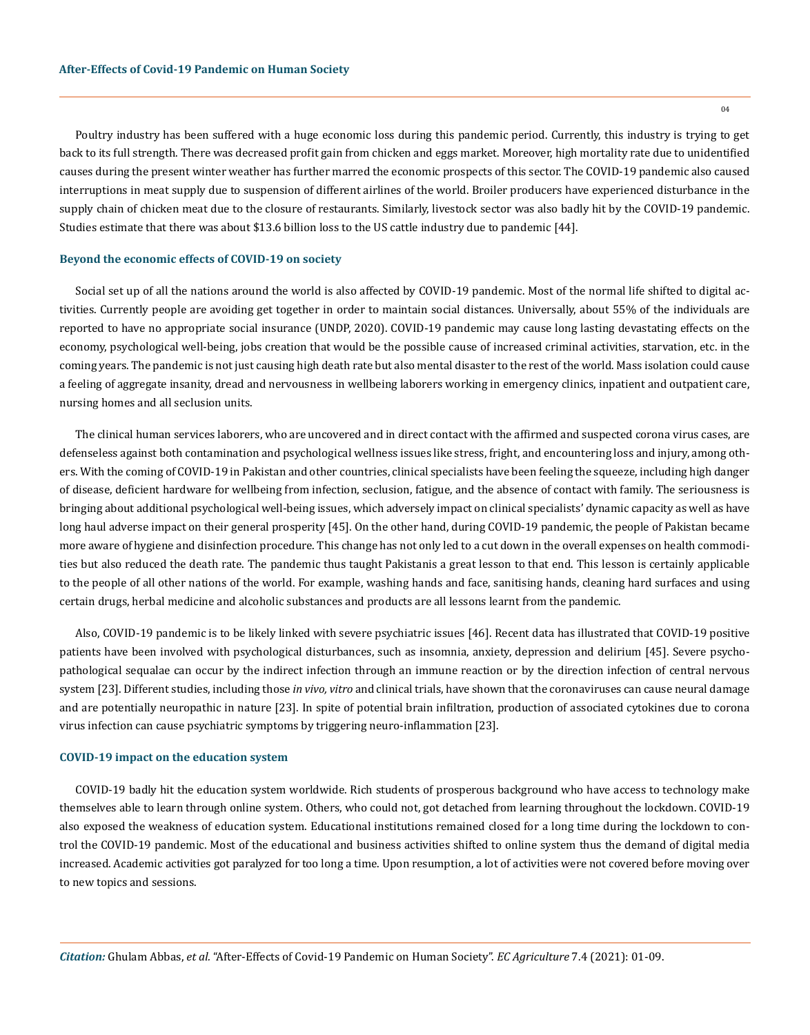$04$ 

Poultry industry has been suffered with a huge economic loss during this pandemic period. Currently, this industry is trying to get back to its full strength. There was decreased profit gain from chicken and eggs market. Moreover, high mortality rate due to unidentified causes during the present winter weather has further marred the economic prospects of this sector. The COVID-19 pandemic also caused interruptions in meat supply due to suspension of different airlines of the world. Broiler producers have experienced disturbance in the supply chain of chicken meat due to the closure of restaurants. Similarly, livestock sector was also badly hit by the COVID-19 pandemic. Studies estimate that there was about \$13.6 billion loss to the US cattle industry due to pandemic [44].

#### **Beyond the economic effects of COVID-19 on society**

Social set up of all the nations around the world is also affected by COVID-19 pandemic. Most of the normal life shifted to digital activities. Currently people are avoiding get together in order to maintain social distances. Universally, about 55% of the individuals are reported to have no appropriate social insurance (UNDP, 2020). COVID-19 pandemic may cause long lasting devastating effects on the economy, psychological well-being, jobs creation that would be the possible cause of increased criminal activities, starvation, etc. in the coming years. The pandemic is not just causing high death rate but also mental disaster to the rest of the world. Mass isolation could cause a feeling of aggregate insanity, dread and nervousness in wellbeing laborers working in emergency clinics, inpatient and outpatient care, nursing homes and all seclusion units.

The clinical human services laborers, who are uncovered and in direct contact with the affirmed and suspected corona virus cases, are defenseless against both contamination and psychological wellness issues like stress, fright, and encountering loss and injury, among others. With the coming of COVID-19 in Pakistan and other countries, clinical specialists have been feeling the squeeze, including high danger of disease, deficient hardware for wellbeing from infection, seclusion, fatigue, and the absence of contact with family. The seriousness is bringing about additional psychological well-being issues, which adversely impact on clinical specialists' dynamic capacity as well as have long haul adverse impact on their general prosperity [45]. On the other hand, during COVID-19 pandemic, the people of Pakistan became more aware of hygiene and disinfection procedure. This change has not only led to a cut down in the overall expenses on health commodities but also reduced the death rate. The pandemic thus taught Pakistanis a great lesson to that end. This lesson is certainly applicable to the people of all other nations of the world. For example, washing hands and face, sanitising hands, cleaning hard surfaces and using certain drugs, herbal medicine and alcoholic substances and products are all lessons learnt from the pandemic.

Also, COVID-19 pandemic is to be likely linked with severe psychiatric issues [46]. Recent data has illustrated that COVID-19 positive patients have been involved with psychological disturbances, such as insomnia, anxiety, depression and delirium [45]. Severe psychopathological sequalae can occur by the indirect infection through an immune reaction or by the direction infection of central nervous system [23]. Different studies, including those *in vivo, vitro* and clinical trials, have shown that the coronaviruses can cause neural damage and are potentially neuropathic in nature [23]. In spite of potential brain infiltration, production of associated cytokines due to corona virus infection can cause psychiatric symptoms by triggering neuro-inflammation [23].

#### **COVID-19 impact on the education system**

COVID-19 badly hit the education system worldwide. Rich students of prosperous background who have access to technology make themselves able to learn through online system. Others, who could not, got detached from learning throughout the lockdown. COVID-19 also exposed the weakness of education system. Educational institutions remained closed for a long time during the lockdown to control the COVID-19 pandemic. Most of the educational and business activities shifted to online system thus the demand of digital media increased. Academic activities got paralyzed for too long a time. Upon resumption, a lot of activities were not covered before moving over to new topics and sessions.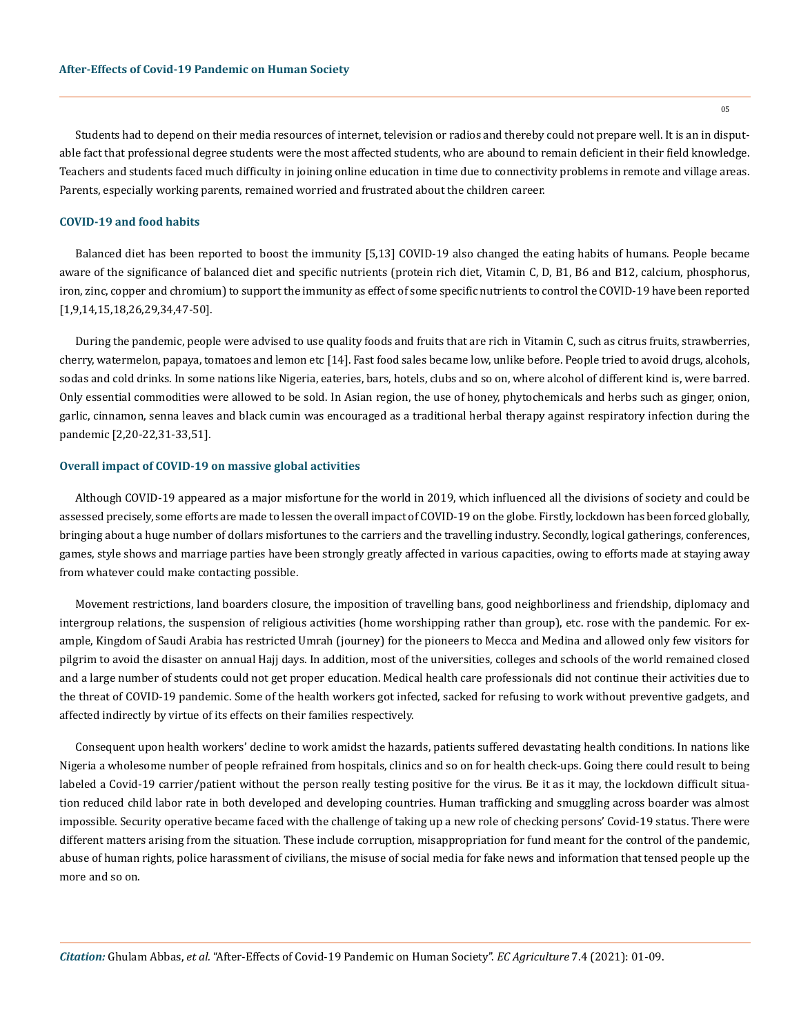Students had to depend on their media resources of internet, television or radios and thereby could not prepare well. It is an in disputable fact that professional degree students were the most affected students, who are abound to remain deficient in their field knowledge. Teachers and students faced much difficulty in joining online education in time due to connectivity problems in remote and village areas. Parents, especially working parents, remained worried and frustrated about the children career.

#### **COVID-19 and food habits**

Balanced diet has been reported to boost the immunity [5,13] COVID-19 also changed the eating habits of humans. People became aware of the significance of balanced diet and specific nutrients (protein rich diet, Vitamin C, D, B1, B6 and B12, calcium, phosphorus, iron, zinc, copper and chromium) to support the immunity as effect of some specific nutrients to control the COVID-19 have been reported [1,9,14,15,18,26,29,34,47-50].

During the pandemic, people were advised to use quality foods and fruits that are rich in Vitamin C, such as citrus fruits, strawberries, cherry, watermelon, papaya, tomatoes and lemon etc [14]. Fast food sales became low, unlike before. People tried to avoid drugs, alcohols, sodas and cold drinks. In some nations like Nigeria, eateries, bars, hotels, clubs and so on, where alcohol of different kind is, were barred. Only essential commodities were allowed to be sold. In Asian region, the use of honey, phytochemicals and herbs such as ginger, onion, garlic, cinnamon, senna leaves and black cumin was encouraged as a traditional herbal therapy against respiratory infection during the pandemic [2,20-22,31-33,51].

#### **Overall impact of COVID-19 on massive global activities**

Although COVID-19 appeared as a major misfortune for the world in 2019, which influenced all the divisions of society and could be assessed precisely, some efforts are made to lessen the overall impact of COVID-19 on the globe. Firstly, lockdown has been forced globally, bringing about a huge number of dollars misfortunes to the carriers and the travelling industry. Secondly, logical gatherings, conferences, games, style shows and marriage parties have been strongly greatly affected in various capacities, owing to efforts made at staying away from whatever could make contacting possible.

Movement restrictions, land boarders closure, the imposition of travelling bans, good neighborliness and friendship, diplomacy and intergroup relations, the suspension of religious activities (home worshipping rather than group), etc. rose with the pandemic. For example, Kingdom of Saudi Arabia has restricted Umrah (journey) for the pioneers to Mecca and Medina and allowed only few visitors for pilgrim to avoid the disaster on annual Hajj days. In addition, most of the universities, colleges and schools of the world remained closed and a large number of students could not get proper education. Medical health care professionals did not continue their activities due to the threat of COVID-19 pandemic. Some of the health workers got infected, sacked for refusing to work without preventive gadgets, and affected indirectly by virtue of its effects on their families respectively.

Consequent upon health workers' decline to work amidst the hazards, patients suffered devastating health conditions. In nations like Nigeria a wholesome number of people refrained from hospitals, clinics and so on for health check-ups. Going there could result to being labeled a Covid-19 carrier/patient without the person really testing positive for the virus. Be it as it may, the lockdown difficult situation reduced child labor rate in both developed and developing countries. Human trafficking and smuggling across boarder was almost impossible. Security operative became faced with the challenge of taking up a new role of checking persons' Covid-19 status. There were different matters arising from the situation. These include corruption, misappropriation for fund meant for the control of the pandemic, abuse of human rights, police harassment of civilians, the misuse of social media for fake news and information that tensed people up the more and so on.

*Citation:* Ghulam Abbas, *et al.* "After-Effects of Covid-19 Pandemic on Human Society". *EC Agriculture* 7.4 (2021): 01-09.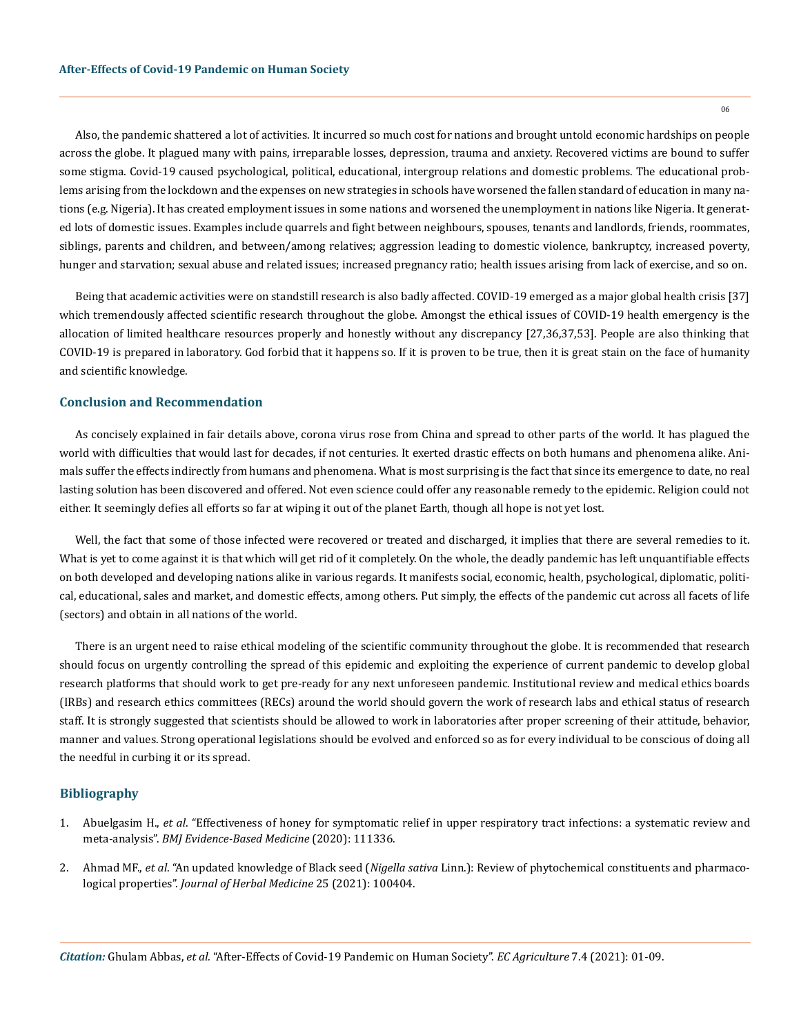Also, the pandemic shattered a lot of activities. It incurred so much cost for nations and brought untold economic hardships on people across the globe. It plagued many with pains, irreparable losses, depression, trauma and anxiety. Recovered victims are bound to suffer some stigma. Covid-19 caused psychological, political, educational, intergroup relations and domestic problems. The educational problems arising from the lockdown and the expenses on new strategies in schools have worsened the fallen standard of education in many nations (e.g. Nigeria). It has created employment issues in some nations and worsened the unemployment in nations like Nigeria. It generated lots of domestic issues. Examples include quarrels and fight between neighbours, spouses, tenants and landlords, friends, roommates, siblings, parents and children, and between/among relatives; aggression leading to domestic violence, bankruptcy, increased poverty, hunger and starvation; sexual abuse and related issues; increased pregnancy ratio; health issues arising from lack of exercise, and so on.

Being that academic activities were on standstill research is also badly affected. COVID-19 emerged as a major global health crisis [37] which tremendously affected scientific research throughout the globe. Amongst the ethical issues of COVID-19 health emergency is the allocation of limited healthcare resources properly and honestly without any discrepancy [27,36,37,53]. People are also thinking that COVID-19 is prepared in laboratory. God forbid that it happens so. If it is proven to be true, then it is great stain on the face of humanity and scientific knowledge.

#### **Conclusion and Recommendation**

As concisely explained in fair details above, corona virus rose from China and spread to other parts of the world. It has plagued the world with difficulties that would last for decades, if not centuries. It exerted drastic effects on both humans and phenomena alike. Animals suffer the effects indirectly from humans and phenomena. What is most surprising is the fact that since its emergence to date, no real lasting solution has been discovered and offered. Not even science could offer any reasonable remedy to the epidemic. Religion could not either. It seemingly defies all efforts so far at wiping it out of the planet Earth, though all hope is not yet lost.

Well, the fact that some of those infected were recovered or treated and discharged, it implies that there are several remedies to it. What is yet to come against it is that which will get rid of it completely. On the whole, the deadly pandemic has left unquantifiable effects on both developed and developing nations alike in various regards. It manifests social, economic, health, psychological, diplomatic, political, educational, sales and market, and domestic effects, among others. Put simply, the effects of the pandemic cut across all facets of life (sectors) and obtain in all nations of the world.

There is an urgent need to raise ethical modeling of the scientific community throughout the globe. It is recommended that research should focus on urgently controlling the spread of this epidemic and exploiting the experience of current pandemic to develop global research platforms that should work to get pre-ready for any next unforeseen pandemic. Institutional review and medical ethics boards (IRBs) and research ethics committees (RECs) around the world should govern the work of research labs and ethical status of research staff. It is strongly suggested that scientists should be allowed to work in laboratories after proper screening of their attitude, behavior, manner and values. Strong operational legislations should be evolved and enforced so as for every individual to be conscious of doing all the needful in curbing it or its spread.

### **Bibliography**

- 1. Abuelgasim H., *et al*[. "Effectiveness of honey for symptomatic relief in upper respiratory tract infections: a systematic review and](https://pubmed.ncbi.nlm.nih.gov/32817011/) meta-analysis". *[BMJ Evidence-Based Medicine](https://pubmed.ncbi.nlm.nih.gov/32817011/)* (2020): 111336.
- 2. Ahmad MF., *et al*. "An updated knowledge of Black seed (*Nigella sativa* [Linn.\): Review of phytochemical constituents and pharmaco](https://www.sciencedirect.com/science/article/abs/pii/S2210803320300750)logical properties". *[Journal of Herbal Medicine](https://www.sciencedirect.com/science/article/abs/pii/S2210803320300750)* 25 (2021): 100404.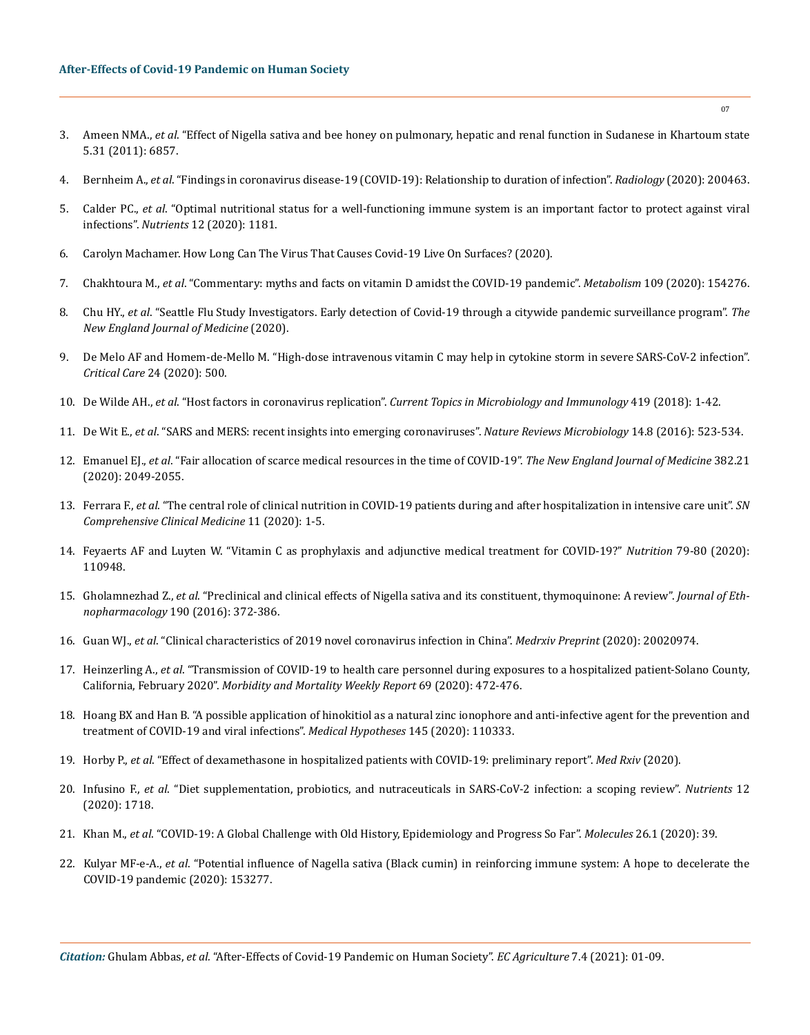- 3. Ameen NMA., *et al*[. "Effect of Nigella sativa and bee honey on pulmonary, hepatic and renal function in Sudanese in Khartoum state](https://www.researchgate.net/publication/329426411_Effect_of_Nigella_sativa_and_bee_honey_on_pulmonary_hepatic_and_renal_function_in_Sudanese_in_Khartoum_state)  [5.31 \(2011\): 6857.](https://www.researchgate.net/publication/329426411_Effect_of_Nigella_sativa_and_bee_honey_on_pulmonary_hepatic_and_renal_function_in_Sudanese_in_Khartoum_state)
- 4. Bernheim A., *et al*. "Findings in coronavirus disease-19 (COVID-19): Relationship to duration of infection". *Radiology* (2020): 200463.
- 5. Calder PC., *et al*[. "Optimal nutritional status for a well-functioning immune system is an important factor to protect against viral](https://pubmed.ncbi.nlm.nih.gov/32340216/)  infections". *Nutrients* [12 \(2020\): 1181.](https://pubmed.ncbi.nlm.nih.gov/32340216/)
- 6. Carolyn Machamer. How Long Can The Virus That Causes Covid-19 Live On Surfaces? (2020).
- 7. Chakhtoura M., *et al*[. "Commentary: myths and facts on vitamin D amidst the COVID-19 pandemic".](https://www.ncbi.nlm.nih.gov/pmc/articles/PMC7250097/) *Metabolism* 109 (2020): 154276.
- 8. Chu HY., *et al*[. "Seattle Flu Study Investigators. Early detection of Covid-19 through a citywide pandemic surveillance program".](https://www.nejm.org/doi/full/10.1056/NEJMc2008646) *The [New England Journal of Medicine](https://www.nejm.org/doi/full/10.1056/NEJMc2008646)* (2020).
- 9. [De Melo AF and Homem-de-Mello M. "High-dose intravenous vitamin C may help in cytokine storm in severe SARS-CoV-2 infection".](https://ccforum.biomedcentral.com/articles/10.1186/s13054-020-03228-3)  *Critical Care* [24 \(2020\): 500.](https://ccforum.biomedcentral.com/articles/10.1186/s13054-020-03228-3)
- 10. De Wilde AH., *et al*. "Host factors in coronavirus replication". *[Current Topics in Microbiology and Immunology](https://pubmed.ncbi.nlm.nih.gov/28643204/)* 419 (2018): 1-42.
- 11. De Wit E., *et al*[. "SARS and MERS: recent insights into emerging coronaviruses".](https://pubmed.ncbi.nlm.nih.gov/27344959/) *Nature Reviews Microbiology* 14.8 (2016): 523-534.
- 12. Emanuel EJ., *et al*[. "Fair allocation of scarce medical resources in the time of COVID-19".](https://www.nejm.org/doi/full/10.1056/nejmsb2005114) *The New England Journal of Medicine* 382.21 [\(2020\): 2049-2055.](https://www.nejm.org/doi/full/10.1056/nejmsb2005114)
- 13. Ferrara F., *et al*[. "The central role of clinical nutrition in COVID-19 patients during and after hospitalization in intensive care unit".](https://www.ncbi.nlm.nih.gov/pmc/articles/PMC7360691/) *SN [Comprehensive Clinical Medicine](https://www.ncbi.nlm.nih.gov/pmc/articles/PMC7360691/)* 11 (2020): 1-5.
- 14. [Feyaerts AF and Luyten W. "Vitamin C as prophylaxis and adjunctive medical treatment for COVID-19?"](https://www.ncbi.nlm.nih.gov/pmc/articles/PMC7381407/) *Nutrition* 79-80 (2020): [110948.](https://www.ncbi.nlm.nih.gov/pmc/articles/PMC7381407/)
- 15. Gholamnezhad Z., *et al*[. "Preclinical and clinical effects of Nigella sativa and its constituent, thymoquinone: A review".](https://pubmed.ncbi.nlm.nih.gov/27364039/) *Journal of Ethnopharmacology* [190 \(2016\): 372-386.](https://pubmed.ncbi.nlm.nih.gov/27364039/)
- 16. Guan WJ., *et al*[. "Clinical characteristics of 2019 novel coronavirus infection in China".](https://www.ncbi.nlm.nih.gov/pmc/articles/PMC7151416/) *Medrxiv Preprint* (2020): 20020974.
- 17. Heinzerling A., *et al*[. "Transmission of COVID-19 to health care personnel during exposures to a hospitalized patient-Solano County,](https://pubmed.ncbi.nlm.nih.gov/32298249/)  California, February 2020". *[Morbidity and Mortality Weekly Report](https://pubmed.ncbi.nlm.nih.gov/32298249/)* 69 (2020): 472-476.
- 18. [Hoang BX and Han B. "A possible application of hinokitiol as a natural zinc ionophore and anti-infective agent for the prevention and](https://www.ncbi.nlm.nih.gov/pmc/articles/PMC7534793/)  [treatment of COVID-19 and viral infections".](https://www.ncbi.nlm.nih.gov/pmc/articles/PMC7534793/) *Medical Hypotheses* 145 (2020): 110333.
- 19. Horby P., *et al*[. "Effect of dexamethasone in hospitalized patients with COVID-19: preliminary report".](https://www.medrxiv.org/content/10.1101/2020.06.22.20137273v1) *Med Rxiv* (2020).
- 20. Infusino F., *et al*[. "Diet supplementation, probiotics, and nutraceuticals in SARS-CoV-2 infection: a scoping review".](https://pubmed.ncbi.nlm.nih.gov/32521760/) *Nutrients* 12 [\(2020\): 1718.](https://pubmed.ncbi.nlm.nih.gov/32521760/)
- 21. Khan M., *et al*[. "COVID-19: A Global Challenge with Old History, Epidemiology and Progress So Far".](https://pubmed.ncbi.nlm.nih.gov/33374759/) *Molecules* 26.1 (2020): 39.
- 22. Kulyar MF-e-A., *et al*[. "Potential influence of Nagella sativa \(Black cumin\) in reinforcing immune system: A hope to decelerate the](https://www.ncbi.nlm.nih.gov/pmc/articles/PMC7347483/)  [COVID-19 pandemic \(2020\): 153277.](https://www.ncbi.nlm.nih.gov/pmc/articles/PMC7347483/)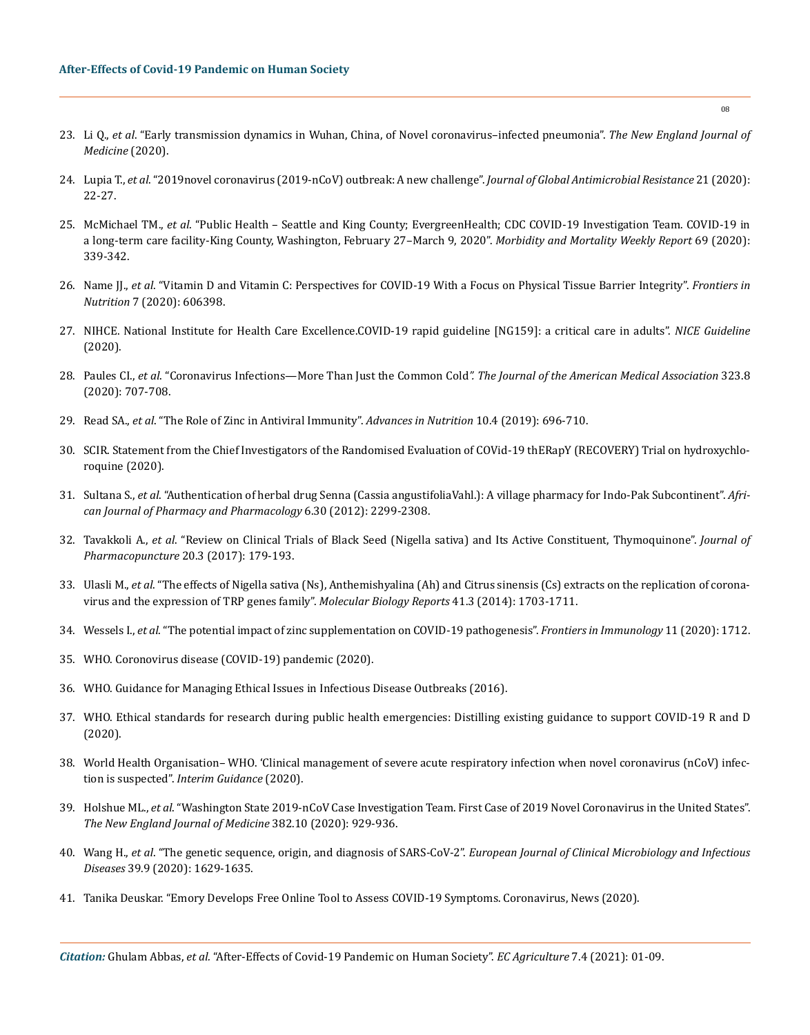- 23. Li Q., *et al*[. "Early transmission dynamics in Wuhan, China, of Novel coronavirus–infected pneumonia".](https://www.nejm.org/doi/full/10.1056/nejmoa2001316) *The New England Journal of [Medicine](https://www.nejm.org/doi/full/10.1056/nejmoa2001316)* (2020).
- 24. Lupia T., *et al*[. "2019novel coronavirus \(2019-nCoV\) outbreak: A new challenge".](https://pubmed.ncbi.nlm.nih.gov/32156648/) *Journal of Global Antimicrobial Resistance* 21 (2020): [22-27.](https://pubmed.ncbi.nlm.nih.gov/32156648/)
- 25. McMichael TM., *et al*[. "Public Health Seattle and King County; EvergreenHealth; CDC COVID-19 Investigation Team. COVID-19 in](https://www.cdc.gov/mmwr/volumes/69/wr/mm6912e1.htm) [a long-term care facility-King County, Washington, February 27–March 9, 2020".](https://www.cdc.gov/mmwr/volumes/69/wr/mm6912e1.htm) *Morbidity and Mortality Weekly Report* 69 (2020): [339-342.](https://www.cdc.gov/mmwr/volumes/69/wr/mm6912e1.htm)
- 26. Name JJ., *et al*[. "Vitamin D and Vitamin C: Perspectives for COVID-19 With a Focus on Physical Tissue Barrier Integrity".](https://www.frontiersin.org/articles/10.3389/fnut.2020.606398/full) *Frontiers in Nutrition* [7 \(2020\): 606398.](https://www.frontiersin.org/articles/10.3389/fnut.2020.606398/full)
- 27. [NIHCE. National Institute for Health Care Excellence.COVID-19 rapid guideline \[NG159\]: a critical care in adults".](https://www.nice.org.uk/guidance/ng159) *NICE Guideline* [\(2020\).](https://www.nice.org.uk/guidance/ng159)
- 28. Paules CI., *et al*[. "Coronavirus Infections—More Than Just the Common Cold](https://jamanetwork.com/journals/jama/fullarticle/2759815)*". The Journal of the American Medical Association* 323.8 [\(2020\): 707-708.](https://jamanetwork.com/journals/jama/fullarticle/2759815)
- 29. Read SA., *et al*[. "The Role of Zinc in Antiviral Immunity".](https://pubmed.ncbi.nlm.nih.gov/31305906/) *Advances in Nutrition* 10.4 (2019): 696-710.
- 30. [SCIR. Statement from the Chief Investigators of the Randomised Evaluation of COVid-19 thERapY \(RECOVERY\) Trial on hydroxychlo](https://www.recoverytrial.net/files/hcq-recovery-statement-050620-final-002.pdf)[roquine \(2020\).](https://www.recoverytrial.net/files/hcq-recovery-statement-050620-final-002.pdf)
- 31. Sultana S., *et al*[. "Authentication of herbal drug Senna \(Cassia angustifoliaVahl.\): A village pharmacy for Indo-Pak Subcontinent".](https://academicjournals.org/journal/AJPP/article-full-text-pdf/4F13AE933383.pdf) *Afri[can Journal of Pharmacy and Pharmacology](https://academicjournals.org/journal/AJPP/article-full-text-pdf/4F13AE933383.pdf)* 6.30 (2012): 2299-2308.
- 32. Tavakkoli A., *et al*[. "Review on Clinical Trials of Black Seed \(Nigella sativa\) and Its Active Constituent, Thymoquinone".](https://www.ncbi.nlm.nih.gov/pmc/articles/PMC5633670/) *Journal of [Pharmacopuncture](https://www.ncbi.nlm.nih.gov/pmc/articles/PMC5633670/)* 20.3 (2017): 179-193.
- 33. Ulasli M., *et al*[. "The effects of Nigella sativa \(Ns\), Anthemishyalina \(Ah\) and Citrus sinensis \(Cs\) extracts on the replication of corona](https://pubmed.ncbi.nlm.nih.gov/24413991/)[virus and the expression of TRP genes family".](https://pubmed.ncbi.nlm.nih.gov/24413991/) *Molecular Biology Reports* 41.3 (2014): 1703-1711.
- 34. Wessels I., *et al*[. "The potential impact of zinc supplementation on COVID-19 pathogenesis".](https://www.ncbi.nlm.nih.gov/pmc/articles/PMC7365891/) *Frontiers in Immunology* 11 (2020): 1712.
- 35. [WHO. Coronovirus disease \(COVID-19\) pandemic \(2020\).](https://www.who.int/emergencies/diseases/novel-coronavirus-2019/situation-reports)
- 36. [WHO. Guidance for Managing Ethical Issues in Infectious Disease Outbreaks \(2016\).](https://apps.who.int/iris/handle/10665/250580)
- 37. [WHO. Ethical standards for research during public health emergencies: Distilling existing guidance to support COVID-19 R and D](https://apps.who.int/iris/handle/10665/331507) [\(2020\).](https://apps.who.int/iris/handle/10665/331507)
- 38. [World Health Organisation– WHO. 'Clinical management of severe acute respiratory infection when novel coronavirus \(nCoV\) infec](https://apps.who.int/iris/handle/10665/330893)tion is suspected". *[Interim Guidance](https://apps.who.int/iris/handle/10665/330893)* (2020).
- 39. Holshue ML., *et al*[. "Washington State 2019-nCoV Case Investigation Team. First Case of 2019 Novel Coronavirus in the United States".](https://www.nejm.org/doi/full/10.1056/NEJMoa2001191) *[The New England Journal of Medicine](https://www.nejm.org/doi/full/10.1056/NEJMoa2001191)* 382.10 (2020): 929-936.
- 40. Wang H., *et al*. "The genetic sequence, origin, and diagnosis of SARS-CoV-2". *[European Journal of Clinical Microbiology and Infectious](https://pubmed.ncbi.nlm.nih.gov/32333222/) Diseases* [39.9 \(2020\): 1629-1635.](https://pubmed.ncbi.nlm.nih.gov/32333222/)
- 41. [Tanika Deuskar. "Emory Develops Free Online Tool to Assess COVID-19 Symptoms. Coronavirus, News \(2020\).](https://emorywheel.com/emory-develops-free-online-tool-to-assess-covid/)